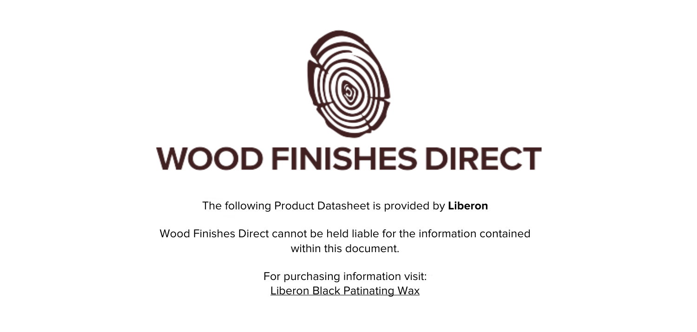

The following Product Datasheet is provided by **Liberon**

Wood Finishes Direct cannot be held liable for the information contained within this document.

> For purchasing information visit: [Liberon Black Patinating Wax](https://www.wood-finishes-direct.com/product/liberon-black-patinating-wax)